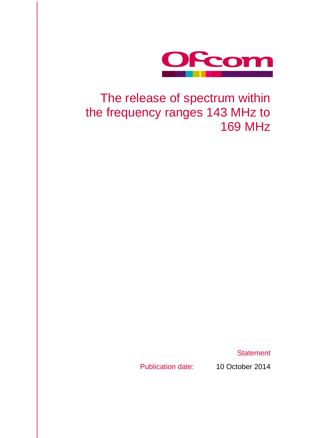

## The release of spectrum within the frequency ranges 143 MHz to 169 MHz

**Statement** 

Publication date: 10 October 2014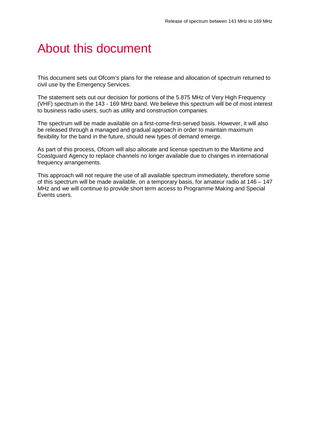## About this document

This document sets out Ofcom's plans for the release and allocation of spectrum returned to civil use by the Emergency Services.

The statement sets out our decision for portions of the 5.875 MHz of Very High Frequency (VHF) spectrum in the 143 - 169 MHz band. We believe this spectrum will be of most interest to business radio users, such as utility and construction companies.

The spectrum will be made available on a first-come-first-served basis. However, it will also be released through a managed and gradual approach in order to maintain maximum flexibility for the band in the future, should new types of demand emerge.

As part of this process, Ofcom will also allocate and license spectrum to the Maritime and Coastguard Agency to replace channels no longer available due to changes in international frequency arrangements.

This approach will not require the use of all available spectrum immediately, therefore some of this spectrum will be made available, on a temporary basis, for amateur radio at 146 – 147 MHz and we will continue to provide short term access to Programme Making and Special Events users.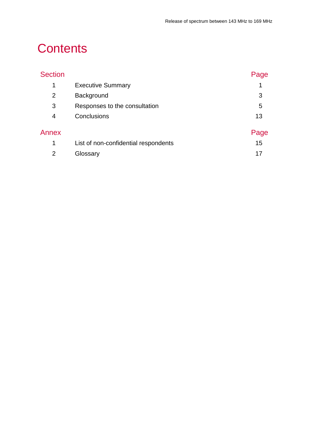## **Contents**

| <b>Section</b> |                                      | Page |
|----------------|--------------------------------------|------|
| 1              | <b>Executive Summary</b>             |      |
| $\overline{2}$ | Background                           | 3    |
| 3              | Responses to the consultation        | 5    |
| 4              | Conclusions                          | 13   |
| Annex          |                                      | Page |
| 1              | List of non-confidential respondents | 15   |
| 2              | Glossary                             | 17   |
|                |                                      |      |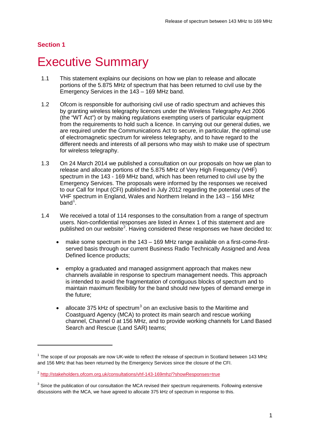-

## <span id="page-3-0"></span>**Executive Summary**

- 1.1 This statement explains our decisions on how we plan to release and allocate portions of the 5.875 MHz of spectrum that has been returned to civil use by the Emergency Services in the 143 – 169 MHz band.
- 1.2 Ofcom is responsible for authorising civil use of radio spectrum and achieves this by granting wireless telegraphy licences under the Wireless Telegraphy Act 2006 (the "WT Act") or by making regulations exempting users of particular equipment from the requirements to hold such a licence. In carrying out our general duties, we are required under the Communications Act to secure, in particular, the optimal use of electromagnetic spectrum for wireless telegraphy, and to have regard to the different needs and interests of all persons who may wish to make use of spectrum for wireless telegraphy.
- 1.3 On 24 March 2014 we published a consultation on our proposals on how we plan to release and allocate portions of the 5.875 MHz of Very High Frequency (VHF) spectrum in the 143 - 169 MHz band, which has been returned to civil use by the Emergency Services. The proposals were informed by the responses we received to our Call for Input (CFI) published in July 2012 regarding the potential uses of the VHF spectrum in England, Wales and Northern Ireland in the 143 – 156 MHz  $band<sup>1</sup>$  $band<sup>1</sup>$  $band<sup>1</sup>$ .
- 1.4 We received a total of 114 responses to the consultation from a range of spectrum users. Non-confidential responses are listed in Annex 1 of this statement and are published on our website<sup>[2](#page-3-2)</sup>. Having considered these responses we have decided to:
	- make some spectrum in the 143 169 MHz range available on a first-come-firstserved basis through our current Business Radio Technically Assigned and Area Defined licence products;
	- employ a graduated and managed assignment approach that makes new channels available in response to spectrum management needs. This approach is intended to avoid the fragmentation of contiguous blocks of spectrum and to maintain maximum flexibility for the band should new types of demand emerge in the future;
	- allocate [3](#page-3-3)75 kHz of spectrum<sup>3</sup> on an exclusive basis to the Maritime and Coastguard Agency (MCA) to protect its main search and rescue working channel, Channel 0 at 156 MHz, and to provide working channels for Land Based Search and Rescue (Land SAR) teams;

<span id="page-3-1"></span> $1$  The scope of our proposals are now UK-wide to reflect the release of spectrum in Scotland between 143 MHz and 156 MHz that has been returned by the Emergency Services since the closure of the CFI.

<span id="page-3-2"></span><sup>&</sup>lt;sup>2</sup> <http://stakeholders.ofcom.org.uk/consultations/vhf-143-169mhz/?showResponses=true>

<span id="page-3-3"></span> $3$  Since the publication of our consultation the MCA revised their spectrum requirements. Following extensive discussions with the MCA, we have agreed to allocate 375 kHz of spectrum in response to this.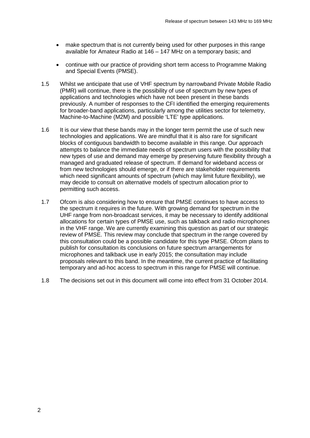- make spectrum that is not currently being used for other purposes in this range available for Amateur Radio at 146 – 147 MHz on a temporary basis; and
- continue with our practice of providing short term access to Programme Making and Special Events (PMSE).
- 1.5 Whilst we anticipate that use of VHF spectrum by narrowband Private Mobile Radio (PMR) will continue, there is the possibility of use of spectrum by new types of applications and technologies which have not been present in these bands previously. A number of responses to the CFI identified the emerging requirements for broader-band applications, particularly among the utilities sector for telemetry, Machine-to-Machine (M2M) and possible 'LTE' type applications.
- 1.6 It is our view that these bands may in the longer term permit the use of such new technologies and applications. We are mindful that it is also rare for significant blocks of contiguous bandwidth to become available in this range. Our approach attempts to balance the immediate needs of spectrum users with the possibility that new types of use and demand may emerge by preserving future flexibility through a managed and graduated release of spectrum. If demand for wideband access or from new technologies should emerge, or if there are stakeholder requirements which need significant amounts of spectrum (which may limit future flexibility), we may decide to consult on alternative models of spectrum allocation prior to permitting such access.
- 1.7 Ofcom is also considering how to ensure that PMSE continues to have access to the spectrum it requires in the future. With growing demand for spectrum in the UHF range from non-broadcast services, it may be necessary to identify additional allocations for certain types of PMSE use, such as talkback and radio microphones in the VHF range. We are currently examining this question as part of our strategic review of PMSE. This review may conclude that spectrum in the range covered by this consultation could be a possible candidate for this type PMSE. Ofcom plans to publish for consultation its conclusions on future spectrum arrangements for microphones and talkback use in early 2015; the consultation may include proposals relevant to this band. In the meantime, the current practice of facilitating temporary and ad-hoc access to spectrum in this range for PMSE will continue.
- 1.8 The decisions set out in this document will come into effect from 31 October 2014.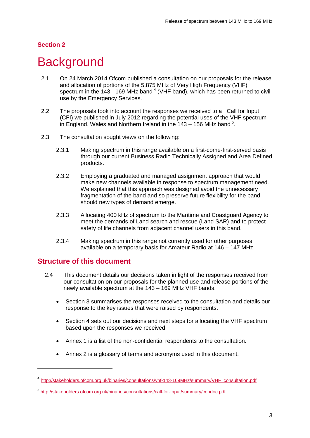## <span id="page-5-0"></span>**Background**

- 2.1 On 24 March 2014 Ofcom published a consultation on our proposals for the release and allocation of portions of the 5.875 MHz of Very High Frequency (VHF) spectrum in the  $143 - 169$  $143 - 169$  $143 - 169$  MHz band  $4$  (VHF band), which has been returned to civil use by the Emergency Services.
- 2.2 The proposals took into account the responses we received to a Call for Input (CFI) we published in July 2012 regarding the potential uses of the VHF spectrum in England, Wales and Northern Ireland in the  $143 - 156$  $143 - 156$  $143 - 156$  MHz band  $5$ .
- 2.3 The consultation sought views on the following:
	- 2.3.1 Making spectrum in this range available on a first-come-first-served basis through our current Business Radio Technically Assigned and Area Defined products.
	- 2.3.2 Employing a graduated and managed assignment approach that would make new channels available in response to spectrum management need. We explained that this approach was designed avoid the unnecessary fragmentation of the band and so preserve future flexibility for the band should new types of demand emerge.
	- 2.3.3 Allocating 400 kHz of spectrum to the Maritime and Coastguard Agency to meet the demands of Land search and rescue (Land SAR) and to protect safety of life channels from adjacent channel users in this band.
	- 2.3.4 Making spectrum in this range not currently used for other purposes available on a temporary basis for Amateur Radio at 146 – 147 MHz.

### **Structure of this document**

- 2.4 This document details our decisions taken in light of the responses received from our consultation on our proposals for the planned use and release portions of the newly available spectrum at the 143 – 169 MHz VHF bands.
	- Section 3 summarises the responses received to the consultation and details our response to the key issues that were raised by respondents.
	- Section 4 sets out our decisions and next steps for allocating the VHF spectrum based upon the responses we received.
	- Annex 1 is a list of the non-confidential respondents to the consultation.
	- Annex 2 is a glossary of terms and acronyms used in this document.

<span id="page-5-1"></span><sup>4</sup> [http://stakeholders.ofcom.org.uk/binaries/consultations/vhf-143-169MHz/summary/VHF\\_consultation.pdf](http://stakeholders.ofcom.org.uk/binaries/consultations/vhf-143-169MHz/summary/VHF_consultation.pdf)

<span id="page-5-2"></span><sup>5</sup> <http://stakeholders.ofcom.org.uk/binaries/consultations/call-for-input/summary/condoc.pdf>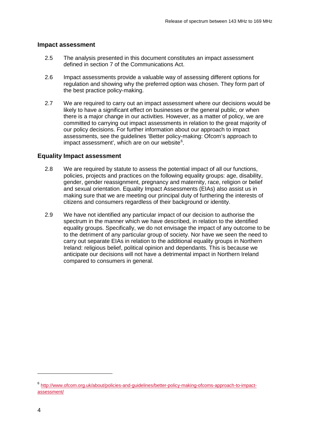#### **Impact assessment**

- 2.5 The analysis presented in this document constitutes an impact assessment defined in section 7 of the Communications Act.
- 2.6 Impact assessments provide a valuable way of assessing different options for regulation and showing why the preferred option was chosen. They form part of the best practice policy-making.
- 2.7 We are required to carry out an impact assessment where our decisions would be likely to have a significant effect on businesses or the general public, or when there is a major change in our activities. However, as a matter of policy, we are committed to carrying out impact assessments in relation to the great majority of our policy decisions. For further information about our approach to impact assessments, see the guidelines 'Better policy-making: Ofcom's approach to impact assessment', which are on our website $^6$  $^6$ .

#### **Equality Impact assessment**

- 2.8 We are required by statute to assess the potential impact of all our functions, policies, projects and practices on the following equality groups: age, disability, gender, gender reassignment, pregnancy and maternity, race, religion or belief and sexual orientation. Equality Impact Assessments (EIAs) also assist us in making sure that we are meeting our principal duty of furthering the interests of citizens and consumers regardless of their background or identity.
- 2.9 We have not identified any particular impact of our decision to authorise the spectrum in the manner which we have described, in relation to the identified equality groups. Specifically, we do not envisage the impact of any outcome to be to the detriment of any particular group of society. Nor have we seen the need to carry out separate EIAs in relation to the additional equality groups in Northern Ireland: religious belief, political opinion and dependants. This is because we anticipate our decisions will not have a detrimental impact in Northern Ireland compared to consumers in general.

<span id="page-6-0"></span><sup>6</sup> [http://www.ofcom.org.uk/about/policies-and-guidelines/better-policy-making-ofcoms-approach-to-impact](http://www.ofcom.org.uk/about/policies-and-guidelines/better-policy-making-ofcoms-approach-to-impact-assessment/)[assessment/](http://www.ofcom.org.uk/about/policies-and-guidelines/better-policy-making-ofcoms-approach-to-impact-assessment/)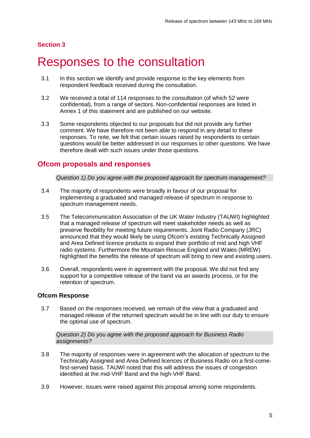## <span id="page-7-0"></span>Responses to the consultation

- 3.1 In this section we identify and provide response to the key elements from respondent feedback received during the consultation.
- 3.2 We received a total of 114 responses to the consultation (of which 52 were confidential), from a range of sectors. Non-confidential responses are listed in Annex 1 of this statement and are published on our website.
- 3.3 Some respondents objected to our proposals but did not provide any further comment. We have therefore not been able to respond in any detail to these responses. To note, we felt that certain issues raised by respondents to certain questions would be better addressed in our responses to other questions. We have therefore dealt with such issues under those questions.

### **Ofcom proposals and responses**

*Question 1) Do you agree with the proposed approach for spectrum management?*

- 3.4 The majority of respondents were broadly in favour of our proposal for implementing a graduated and managed release of spectrum in response to spectrum management needs.
- 3.5 The Telecommunication Association of the UK Water Industry (TAUWI) highlighted that a managed release of spectrum will meet stakeholder needs as well as preserve flexibility for meeting future requirements. Joint Radio Company (JRC) announced that they would likely be using Ofcom's existing Technically Assigned and Area Defined licence products to expand their portfolio of mid and high VHF radio systems. Furthermore the Mountain Rescue England and Wales (MREW) highlighted the benefits the release of spectrum will bring to new and existing users.
- 3.6 Overall, respondents were in agreement with the proposal. We did not find any support for a competitive release of the band via an awards process, or for the retention of spectrum.

#### **Ofcom Response**

3.7 Based on the responses received, we remain of the view that a graduated and managed release of the returned spectrum would be in line with our duty to ensure the optimal use of spectrum.

*Question 2) Do you agree with the proposed approach for Business Radio assignments?*

- 3.8 The majority of responses were in agreement with the allocation of spectrum to the Technically Assigned and Area Defined licences of Business Radio on a first-comefirst-served basis. TAUWI noted that this will address the issues of congestion identified at the mid-VHF Band and the high-VHF Band.
- 3.9 However, issues were raised against this proposal among some respondents.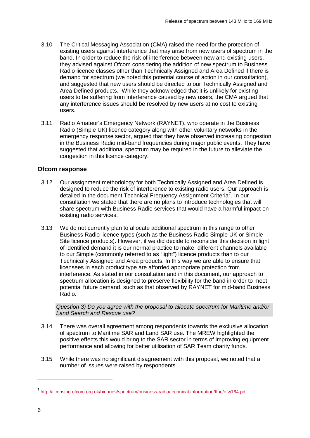- 3.10 The Critical Messaging Association (CMA) raised the need for the protection of existing users against interference that may arise from new users of spectrum in the band. In order to reduce the risk of interference between new and existing users, they advised against Ofcom considering the addition of new spectrum to Business Radio licence classes other than Technically Assigned and Area Defined if there is demand for spectrum (we noted this potential course of action in our consultation), and suggested that new users should be directed to our Technically Assigned and Area Defined products. While they acknowledged that it is unlikely for existing users to be suffering from interference caused by new users, the CMA argued that any interference issues should be resolved by new users at no cost to existing users.
- 3.11 Radio Amateur's Emergency Network (RAYNET), who operate in the Business Radio (Simple UK) licence category along with other voluntary networks in the emergency response sector, argued that they have observed increasing congestion in the Business Radio mid-band frequencies during major public events. They have suggested that additional spectrum may be required in the future to alleviate the congestion in this licence category.

#### **Ofcom response**

- 3.12 Our assignment methodology for both Technically Assigned and Area Defined is designed to reduce the risk of interference to existing radio users. Our approach is detailed in the document Technical Frequency Assignment Criteria<sup>[7](#page-8-0)</sup>. In our consultation we stated that there are no plans to introduce technologies that will share spectrum with Business Radio services that would have a harmful impact on existing radio services.
- 3.13 We do not currently plan to allocate additional spectrum in this range to other Business Radio licence types (such as the Business Radio Simple UK or Simple Site licence products). However, if we did decide to reconsider this decision in light of identified demand it is our normal practice to make different channels available to our Simple (commonly referred to as "light") licence products than to our Technically Assigned and Area products. In this way we are able to ensure that licensees in each product type are afforded appropriate protection from interference. As stated in our consultation and in this document, our approach to spectrum allocation is designed to preserve flexibility for the band in order to meet potential future demand, such as that observed by RAYNET for mid-band Business Radio.

#### *Question 3) Do you agree with the proposal to allocate spectrum for Maritime and/or Land Search and Rescue use?*

- 3.14 There was overall agreement among respondents towards the exclusive allocation of spectrum to Maritime SAR and Land SAR use. The MREW highlighted the positive effects this would bring to the SAR sector in terms of improving equipment performance and allowing for better utilisation of SAR Team charity funds.
- 3.15 While there was no significant disagreement with this proposal, we noted that a number of issues were raised by respondents.

<span id="page-8-0"></span><sup>7</sup> <http://licensing.ofcom.org.uk/binaries/spectrum/business-radio/technical-information/tfac/ofw164.pdf>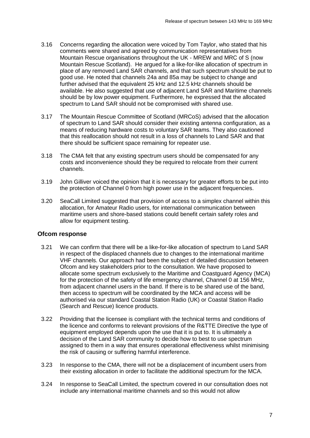- 3.16 Concerns regarding the allocation were voiced by Tom Taylor, who stated that his comments were shared and agreed by communication representatives from Mountain Rescue organisations throughout the UK - MREW and MRC of S (now Mountain Rescue Scotland). He argued for a like-for-like allocation of spectrum in place of any removed Land SAR channels, and that such spectrum should be put to good use. He noted that channels 24a and 85a may be subject to change and further advised that the equivalent 25 kHz and 12.5 kHz channels should be available. He also suggested that use of adiacent Land SAR and Maritime channels should be by low power equipment. Furthermore, he expressed that the allocated spectrum to Land SAR should not be compromised with shared use.
- 3.17 The Mountain Rescue Committee of Scotland (MRCoS) advised that the allocation of spectrum to Land SAR should consider their existing antenna configuration, as a means of reducing hardware costs to voluntary SAR teams. They also cautioned that this reallocation should not result in a loss of channels to Land SAR and that there should be sufficient space remaining for repeater use.
- 3.18 The CMA felt that any existing spectrum users should be compensated for any costs and inconvenience should they be required to relocate from their current channels.
- 3.19 John Gilliver voiced the opinion that it is necessary for greater efforts to be put into the protection of Channel 0 from high power use in the adjacent frequencies.
- 3.20 SeaCall Limited suggested that provision of access to a simplex channel within this allocation, for Amateur Radio users, for international communication between maritime users and shore-based stations could benefit certain safety roles and allow for equipment testing.

#### **Ofcom response**

- 3.21 We can confirm that there will be a like-for-like allocation of spectrum to Land SAR in respect of the displaced channels due to changes to the international maritime VHF channels. Our approach had been the subject of detailed discussion between Ofcom and key stakeholders prior to the consultation. We have proposed to allocate some spectrum exclusively to the Maritime and Coastguard Agency (MCA) for the protection of the safety of life emergency channel, Channel 0 at 156 MHz, from adjacent channel users in the band. If there is to be shared use of the band, then access to spectrum will be coordinated by the MCA and access will be authorised via our standard Coastal Station Radio (UK) or Coastal Station Radio (Search and Rescue) licence products.
- 3.22 Providing that the licensee is compliant with the technical terms and conditions of the licence and conforms to relevant provisions of the R&TTE Directive the type of equipment employed depends upon the use that it is put to. It is ultimately a decision of the Land SAR community to decide how to best to use spectrum assigned to them in a way that ensures operational effectiveness whilst minimising the risk of causing or suffering harmful interference.
- 3.23 In response to the CMA, there will not be a displacement of incumbent users from their existing allocation in order to facilitate the additional spectrum for the MCA.
- 3.24 In response to SeaCall Limited, the spectrum covered in our consultation does not include any international maritime channels and so this would not allow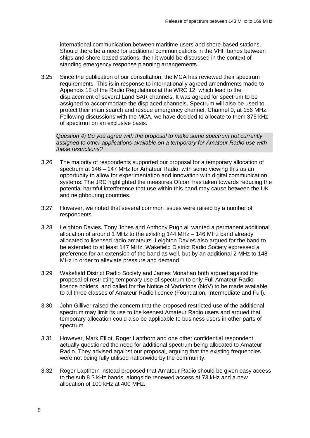international communication between maritime users and shore-based stations. Should there be a need for additional communications in the VHF bands between ships and shore-based stations, then it would be discussed in the context of standing emergency response planning arrangements.

3.25 Since the publication of our consultation, the MCA has reviewed their spectrum requirements. This is in response to internationally agreed amendments made to Appendix 18 of the Radio Regulations at the WRC 12, which lead to the displacement of several Land SAR channels. It was agreed for spectrum to be assigned to accommodate the displaced channels. Spectrum will also be used to protect their main search and rescue emergency channel, Channel 0, at 156 MHz. Following discussions with the MCA, we have decided to allocate to them 375 kHz of spectrum on an exclusive basis.

*Question 4) Do you agree with the proposal to make some spectrum not currently assigned to other applications available on a temporary for Amateur Radio use with these restrictions?*

- 3.26 The majority of respondents supported our proposal for a temporary allocation of spectrum at 146 – 147 MHz for Amateur Radio, with some viewing this as an opportunity to allow for experimentation and innovation with digital communication systems. The JRC highlighted the measures Ofcom has taken towards reducing the potential harmful interference that use within this band may cause between the UK and neighbouring countries.
- 3.27 However, we noted that several common issues were raised by a number of respondents.
- 3.28 Leighton Davies, Tony Jones and Anthony Pugh all wanted a permanent additional allocation of around 1 MHz to the existing 144 MHz – 146 MHz band already allocated to licensed radio amateurs. Leighton Davies also argued for the band to be extended to at least 147 MHz. Wakefield District Radio Society expressed a preference for an extension of the band as well, but by an additional 2 MHz to 148 MHz in order to alleviate pressure and demand.
- 3.29 Wakefield District Radio Society and James Monahan both argued against the proposal of restricting temporary use of spectrum to only Full Amateur Radio licence holders, and called for the Notice of Variations (NoV) to be made available to all three classes of Amateur Radio licence (Foundation, Intermediate and Full).
- 3.30 John Gilliver raised the concern that the proposed restricted use of the additional spectrum may limit its use to the keenest Amateur Radio users and argued that temporary allocation could also be applicable to business users in other parts of spectrum.
- 3.31 However, Mark Elliot, Roger Lapthorn and one other confidential respondent actually questioned the need for additional spectrum being allocated to Amateur Radio. They advised against our proposal, arguing that the existing frequencies were not being fully utilised nationwide by the community.
- 3.32 Roger Lapthorn instead proposed that Amateur Radio should be given easy access to the sub 8.3 kHz bands, alongside renewed access at 73 kHz and a new allocation of 100 kHz at 400 MHz.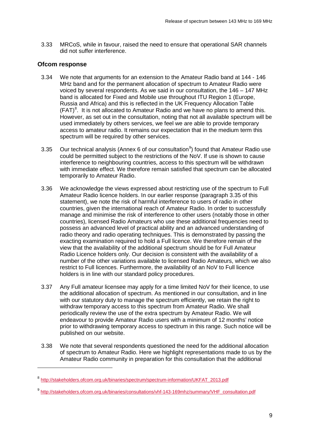3.33 MRCoS, while in favour, raised the need to ensure that operational SAR channels did not suffer interference.

#### **Ofcom response**

- 3.34 We note that arguments for an extension to the Amateur Radio band at 144 146 MHz band and for the permanent allocation of spectrum to Amateur Radio were voiced by several respondents. As we said in our consultation, the 146 – 147 MHz band is allocated for Fixed and Mobile use throughout ITU Region 1 (Europe, Russia and Africa) and this is reflected in the UK Frequency Allocation Table  $(FAT)^8$  $(FAT)^8$ . It is not allocated to Amateur Radio and we have no plans to amend this. However, as set out in the consultation, noting that not all available spectrum will be used immediately by others services, we feel we are able to provide temporary access to amateur radio. It remains our expectation that in the medium term this spectrum will be required by other services.
- 3.35 Our technical analysis (Annex 6 of our consultation $9$ ) found that Amateur Radio use could be permitted subject to the restrictions of the NoV. If use is shown to cause interference to neighbouring countries, access to this spectrum will be withdrawn with immediate effect. We therefore remain satisfied that spectrum can be allocated temporarily to Amateur Radio.
- 3.36 We acknowledge the views expressed about restricting use of the spectrum to Full Amateur Radio licence holders. In our earlier response (paragraph 3.35 of this statement), we note the risk of harmful interference to users of radio in other countries, given the international reach of Amateur Radio. In order to successfully manage and minimise the risk of interference to other users (notably those in other countries), licensed Radio Amateurs who use these additional frequencies need to possess an advanced level of practical ability and an advanced understanding of radio theory and radio operating techniques. This is demonstrated by passing the exacting examination required to hold a Full licence. We therefore remain of the view that the availability of the additional spectrum should be for Full Amateur Radio Licence holders only. Our decision is consistent with the availability of a number of the other variations available to licensed Radio Amateurs, which we also restrict to Full licences. Furthermore, the availability of an NoV to Full licence holders is in line with our standard policy procedures.
- 3.37 Any Full amateur licensee may apply for a time limited NoV for their licence, to use the additional allocation of spectrum. As mentioned in our consultation, and in line with our statutory duty to manage the spectrum efficiently, we retain the right to withdraw temporary access to this spectrum from Amateur Radio. We shall periodically review the use of the extra spectrum by Amateur Radio. We will endeavour to provide Amateur Radio users with a minimum of 12 months' notice prior to withdrawing temporary access to spectrum in this range. Such notice will be published on our website.
- 3.38 We note that several respondents questioned the need for the additional allocation of spectrum to Amateur Radio. Here we highlight representations made to us by the Amateur Radio community in preparation for this consultation that the additional

<span id="page-11-0"></span><sup>8</sup> [http://stakeholders.ofcom.org.uk/binaries/spectrum/spectrum-information/UKFAT\\_2013.pdf](http://stakeholders.ofcom.org.uk/binaries/spectrum/spectrum-information/UKFAT_2013.pdf)

<span id="page-11-1"></span><sup>9</sup> [http://stakeholders.ofcom.org.uk/binaries/consultations/vhf-143-169mhz/summary/VHF\\_consultation.pdf](http://stakeholders.ofcom.org.uk/binaries/consultations/vhf-143-169mhz/summary/VHF_consultation.pdf)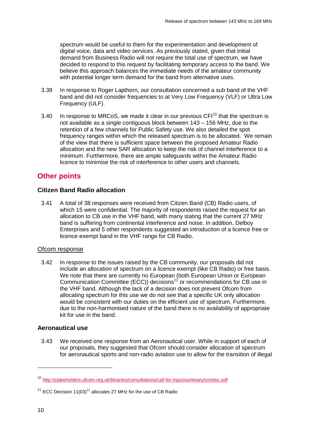spectrum would be useful to them for the experimentation and development of digital voice, data and video services. As previously stated, given that initial demand from Business Radio will not require the total use of spectrum, we have decided to respond to this request by facilitating temporary access to the band. We believe this approach balances the immediate needs of the amateur community with potential longer term demand for the band from alternative uses.

- 3.39 In response to Roger Lapthorn, our consultation concerned a sub band of the VHF band and did not consider frequencies to at Very Low Frequency (VLF) or Ultra Low Frequency (ULF).
- 3.40 In response to MRCoS, we made it clear in our previous  $CF1^{10}$  $CF1^{10}$  $CF1^{10}$  that the spectrum is not available as a single contiguous block between 143 – 156 MHz, due to the retention of a few channels for Public Safety use. We also detailed the spot frequency ranges within which the released spectrum is to be allocated. We remain of the view that there is sufficient space between the proposed Amateur Radio allocation and the new SAR allocation to keep the risk of channel interference to a minimum. Furthermore, there are ample safeguards within the Amateur Radio licence to minimise the risk of interference to other users and channels.

## **Other points**

#### **Citizen Band Radio allocation**

3.41 A total of 38 responses were received from Citizen Band (CB) Radio users, of which 15 were confidential. The majority of respondents raised the request for an allocation to CB use in the VHF band, with many stating that the current 27 MHz band is suffering from continental interference and noise. In addition, Delboy Enterprises and 5 other respondents suggested an introduction of a licence free or licence exempt band in the VHF range for CB Radio.

#### Ofcom response

3.42 In response to the issues raised by the CB community, our proposals did not include an allocation of spectrum on a licence exempt (like CB Radio) or free basis. We note that there are currently no European (both European Union or European Communication Committee (ECC)) decisions<sup>[11](#page-12-1)</sup> or recommendations for CB use in the VHF band. Although the lack of a decision does not prevent Ofcom from allocating spectrum for this use we do not see that a specific UK only allocation would be consistent with our duties on the efficient use of spectrum. Furthermore, due to the non-harmonised nature of the band there is no availability of appropriate kit for use in the band.

### **Aeronautical use**

3.43 We received one response from an Aeronautical user. While in support of each of our proposals, they suggested that Ofcom should consider allocation of spectrum for aeronautical sports and non-radio aviation use to allow for the transition of illegal

<span id="page-12-0"></span><sup>10</sup> <http://stakeholders.ofcom.org.uk/binaries/consultations/call-for-input/summary/condoc.pdf>

<span id="page-12-1"></span> $11$  ECC Decision 11(03)<sup>11</sup> allocates 27 MHz for the use of CB Radio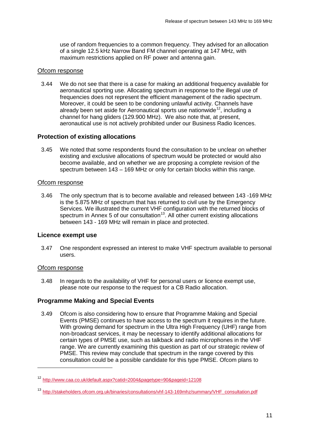use of random frequencies to a common frequency. They advised for an allocation of a single 12.5 kHz Narrow Band FM channel operating at 147 MHz, with maximum restrictions applied on RF power and antenna gain.

#### Ofcom response

3.44 We do not see that there is a case for making an additional frequency available for aeronautical sporting use. Allocating spectrum in response to the illegal use of frequencies does not represent the efficient management of the radio spectrum. Moreover, it could be seen to be condoning unlawful activity. Channels have already been set aside for Aeronautical sports use nationwide<sup>[12](#page-13-0)</sup>, including a channel for hang gliders (129.900 MHz). We also note that, at present, aeronautical use is not actively prohibited under our Business Radio licences.

#### **Protection of existing allocations**

3.45 We noted that some respondents found the consultation to be unclear on whether existing and exclusive allocations of spectrum would be protected or would also become available, and on whether we are proposing a complete revision of the spectrum between 143 – 169 MHz or only for certain blocks within this range.

#### Ofcom response

3.46 The only spectrum that is to become available and released between 143 -169 MHz is the 5.875 MHz of spectrum that has returned to civil use by the Emergency Services. We illustrated the current VHF configuration with the returned blocks of spectrum in Annex 5 of our consultation<sup>[13](#page-13-1)</sup>. All other current existing allocations between 143 - 169 MHz will remain in place and protected.

#### **Licence exempt use**

3.47 One respondent expressed an interest to make VHF spectrum available to personal users.

#### Ofcom response

-

3.48 In regards to the availability of VHF for personal users or licence exempt use, please note our response to the request for a CB Radio allocation.

#### **Programme Making and Special Events**

3.49 Ofcom is also considering how to ensure that Programme Making and Special Events (PMSE) continues to have access to the spectrum it requires in the future. With growing demand for spectrum in the Ultra High Frequency (UHF) range from non-broadcast services, it may be necessary to identify additional allocations for certain types of PMSE use, such as talkback and radio microphones in the VHF range. We are currently examining this question as part of our strategic review of PMSE. This review may conclude that spectrum in the range covered by this consultation could be a possible candidate for this type PMSE. Ofcom plans to

<span id="page-13-0"></span><sup>12</sup> <http://www.caa.co.uk/default.aspx?catid=2004&pagetype=90&pageid=12108>

<span id="page-13-1"></span><sup>13</sup> [http://stakeholders.ofcom.org.uk/binaries/consultations/vhf-143-169mhz/summary/VHF\\_consultation.pdf](http://stakeholders.ofcom.org.uk/binaries/consultations/vhf-143-169mhz/summary/VHF_consultation.pdf)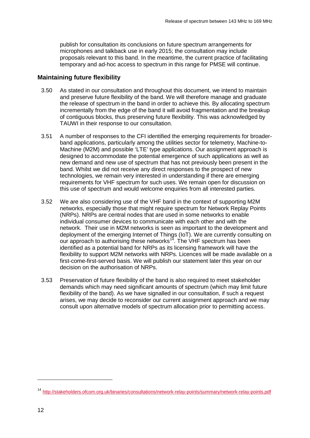publish for consultation its conclusions on future spectrum arrangements for microphones and talkback use in early 2015; the consultation may include proposals relevant to this band. In the meantime, the current practice of facilitating temporary and ad-hoc access to spectrum in this range for PMSE will continue.

#### **Maintaining future flexibility**

- 3.50 As stated in our consultation and throughout this document, we intend to maintain and preserve future flexibility of the band. We will therefore manage and graduate the release of spectrum in the band in order to achieve this. By allocating spectrum incrementally from the edge of the band it will avoid fragmentation and the breakup of contiguous blocks, thus preserving future flexibility. This was acknowledged by TAUWI in their response to our consultation.
- 3.51 A number of responses to the CFI identified the emerging requirements for broaderband applications, particularly among the utilities sector for telemetry, Machine-to-Machine (M2M) and possible 'LTE' type applications. Our assignment approach is designed to accommodate the potential emergence of such applications as well as new demand and new use of spectrum that has not previously been present in the band. Whilst we did not receive any direct responses to the prospect of new technologies, we remain very interested in understanding if there are emerging requirements for VHF spectrum for such uses. We remain open for discussion on this use of spectrum and would welcome enquiries from all interested parties.
- 3.52 We are also considering use of the VHF band in the context of supporting M2M networks, especially those that might require spectrum for Network Replay Points (NRPs). NRPs are central nodes that are used in some networks to enable individual consumer devices to communicate with each other and with the network. Their use in M2M networks is seen as important to the development and deployment of the emerging Internet of Things (IoT). We are currently consulting on our approach to authorising these networks<sup>[14](#page-14-0)</sup>. The VHF spectrum has been identified as a potential band for NRPs as its licensing framework will have the flexibility to support M2M networks with NRPs. Licences will be made available on a first-come-first-served basis. We will publish our statement later this year on our decision on the authorisation of NRPs.
- 3.53 Preservation of future flexibility of the band is also required to meet stakeholder demands which may need significant amounts of spectrum (which may limit future flexibility of the band). As we have signalled in our consultation, if such a request arises, we may decide to reconsider our current assignment approach and we may consult upon alternative models of spectrum allocation prior to permitting access.

<span id="page-14-0"></span><sup>14</sup> <http://stakeholders.ofcom.org.uk/binaries/consultations/network-relay-points/summary/network-relay-points.pdf>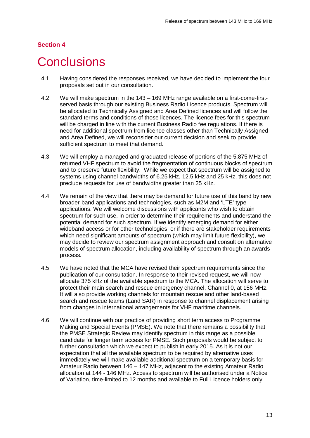## <span id="page-15-0"></span>**Conclusions**

- 4.1 Having considered the responses received, we have decided to implement the four proposals set out in our consultation.
- 4.2 We will make spectrum in the 143 169 MHz range available on a first-come-firstserved basis through our existing Business Radio Licence products. Spectrum will be allocated to Technically Assigned and Area Defined licences and will follow the standard terms and conditions of those licences. The licence fees for this spectrum will be charged in line with the current Business Radio fee regulations. If there is need for additional spectrum from licence classes other than Technically Assigned and Area Defined, we will reconsider our current decision and seek to provide sufficient spectrum to meet that demand.
- 4.3 We will employ a managed and graduated release of portions of the 5.875 MHz of returned VHF spectrum to avoid the fragmentation of continuous blocks of spectrum and to preserve future flexibility. While we expect that spectrum will be assigned to systems using channel bandwidths of 6.25 kHz, 12.5 kHz and 25 kHz, this does not preclude requests for use of bandwidths greater than 25 kHz.
- 4.4 We remain of the view that there may be demand for future use of this band by new broader-band applications and technologies, such as M2M and 'LTE' type applications. We will welcome discussions with applicants who wish to obtain spectrum for such use, in order to determine their requirements and understand the potential demand for such spectrum. If we identify emerging demand for either wideband access or for other technologies, or if there are stakeholder requirements which need significant amounts of spectrum (which may limit future flexibility), we may decide to review our spectrum assignment approach and consult on alternative models of spectrum allocation, including availability of spectrum through an awards process.
- 4.5 We have noted that the MCA have revised their spectrum requirements since the publication of our consultation. In response to their revised request, we will now allocate 375 kHz of the available spectrum to the MCA. The allocation will serve to protect their main search and rescue emergency channel, Channel 0, at 156 MHz. It will also provide working channels for mountain rescue and other land-based search and rescue teams (Land SAR) in response to channel displacement arising from changes in international arrangements for VHF maritime channels.
- 4.6 We will continue with our practice of providing short term access to Programme Making and Special Events (PMSE). We note that there remains a possibility that the PMSE Strategic Review may identify spectrum in this range as a possible candidate for longer term access for PMSE. Such proposals would be subject to further consultation which we expect to publish in early 2015. As it is not our expectation that all the available spectrum to be required by alternative uses immediately we will make available additional spectrum on a temporary basis for Amateur Radio between 146 – 147 MHz, adjacent to the existing Amateur Radio allocation at 144 - 146 MHz. Access to spectrum will be authorised under a Notice of Variation, time-limited to 12 months and available to Full Licence holders only.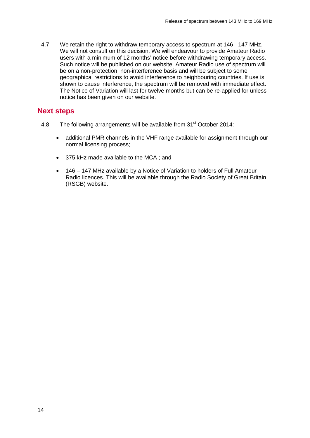4.7 We retain the right to withdraw temporary access to spectrum at 146 - 147 MHz. We will not consult on this decision. We will endeavour to provide Amateur Radio users with a minimum of 12 months' notice before withdrawing temporary access. Such notice will be published on our website. Amateur Radio use of spectrum will be on a non-protection, non-interference basis and will be subject to some geographical restrictions to avoid interference to neighbouring countries. If use is shown to cause interference, the spectrum will be removed with immediate effect. The Notice of Variation will last for twelve months but can be re-applied for unless notice has been given on our website.

### **Next steps**

- 4.8 The following arrangements will be available from  $31<sup>st</sup>$  October 2014:
	- additional PMR channels in the VHF range available for assignment through our normal licensing process;
	- 375 kHz made available to the MCA ; and
	- 146 147 MHz available by a Notice of Variation to holders of Full Amateur Radio licences. This will be available through the Radio Society of Great Britain (RSGB) website.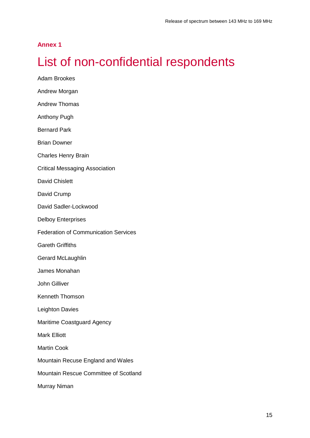### **Annex 1**

# <span id="page-17-0"></span>List of non-confidential respondents

Adam Brookes Andrew Morgan Andrew Thomas Anthony Pugh Bernard Park Brian Downer Charles Henry Brain Critical Messaging Association David Chislett David Crump David Sadler-Lockwood Delboy Enterprises Federation of Communication Services Gareth Griffiths Gerard McLaughlin James Monahan John Gilliver Kenneth Thomson Leighton Davies Maritime Coastguard Agency Mark Elliott Martin Cook Mountain Recuse England and Wales Mountain Rescue Committee of Scotland Murray Niman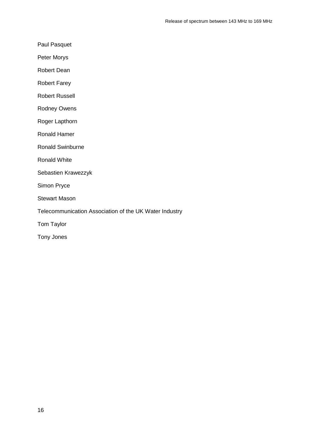Paul Pasquet

Peter Morys

Robert Dean

Robert Farey

Robert Russell

Rodney Owens

Roger Lapthorn

Ronald Hamer

Ronald Swinburne

Ronald White

Sebastien Krawezzyk

Simon Pryce

Stewart Mason

Telecommunication Association of the UK Water Industry

Tom Taylor

Tony Jones